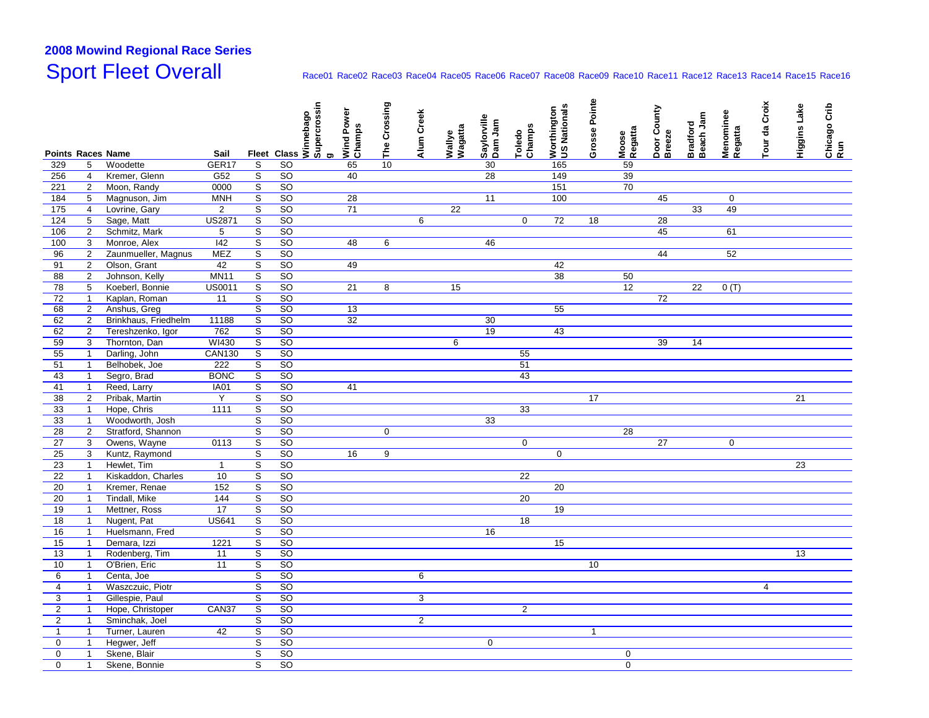## **2008 Mowind Regional Race Series**Sport Fleet Overall

## Race01 Race02 Race03 Race04 Race05 Race06 Race07 Race08 Race09 Race10 Race11 Race12 Race13 Race14 Race15 Race16

|                                 |                |                      |                           |                         |                 | Fleet Class > Supercrossin<br>Fleet Class > Supercrossin | Wind Power<br>Champs | The Crossing   | Alum Creek     |                   | Saylorville<br>Dam Jam |                  | <b>US Nationals</b><br>Worthington | Grosse Pointe |                  | Door County<br>Breeze | Beach Jam       | Menominee   | Tour da Croix  | Higgins Lake    | Chicago Crib<br>Run |
|---------------------------------|----------------|----------------------|---------------------------|-------------------------|-----------------|----------------------------------------------------------|----------------------|----------------|----------------|-------------------|------------------------|------------------|------------------------------------|---------------|------------------|-----------------------|-----------------|-------------|----------------|-----------------|---------------------|
|                                 |                |                      |                           |                         |                 |                                                          |                      |                |                | Wallye<br>Wagatta |                        | Champs<br>Toledo |                                    |               | Moose<br>Regatta |                       | <b>Bradford</b> | Regatta     |                |                 |                     |
| <b>Points Races Name</b><br>329 | 5              | Woodette             | Sail<br>GER <sub>17</sub> | S                       | SO              |                                                          | 65                   | 10             |                |                   | 30                     |                  | 165                                |               | 59               |                       |                 |             |                |                 |                     |
| 256                             | $\overline{4}$ | Kremer, Glenn        | G52                       | $\overline{s}$          | SO              |                                                          | 40                   |                |                |                   | 28                     |                  | 149                                |               | 39               |                       |                 |             |                |                 |                     |
| 221                             | $\overline{2}$ | Moon, Randy          | 0000                      | $\overline{s}$          | SO              |                                                          |                      |                |                |                   |                        |                  | 151                                |               | 70               |                       |                 |             |                |                 |                     |
| 184                             | 5              | Magnuson, Jim        | <b>MNH</b>                | $\overline{s}$          | SO              |                                                          | $\overline{28}$      |                |                |                   | 11                     |                  | 100                                |               |                  | 45                    |                 | $\mathbf 0$ |                |                 |                     |
| 175                             | $\overline{4}$ | Lovrine, Gary        | $\overline{2}$            | $\overline{s}$          | SO              |                                                          | 71                   |                |                | 22                |                        |                  |                                    |               |                  |                       | 33              | 49          |                |                 |                     |
| 124                             | $\,$ 5 $\,$    | Sage, Matt           | <b>US2871</b>             | $\overline{s}$          | SO              |                                                          |                      |                | 6              |                   |                        | $\mathbf 0$      | 72                                 | 18            |                  | 28                    |                 |             |                |                 |                     |
| 106                             | $\overline{2}$ | Schmitz, Mark        | $\overline{5}$            | $\overline{s}$          | SO              |                                                          |                      |                |                |                   |                        |                  |                                    |               |                  | 45                    |                 | 61          |                |                 |                     |
| 100                             | 3              | Monroe, Alex         | 142                       | $\overline{\mathbf{s}}$ | SO              |                                                          | 48                   | 6              |                |                   | 46                     |                  |                                    |               |                  |                       |                 |             |                |                 |                     |
| 96                              | $\overline{2}$ | Zaunmueller, Magnus  | <b>MEZ</b>                | $\overline{s}$          | SO              |                                                          |                      |                |                |                   |                        |                  |                                    |               |                  | 44                    |                 | 52          |                |                 |                     |
| 91                              | $\overline{2}$ | Olson, Grant         | $\overline{42}$           | $\overline{s}$          | $\overline{SO}$ |                                                          | 49                   |                |                |                   |                        |                  | $\overline{42}$                    |               |                  |                       |                 |             |                |                 |                     |
| 88                              | $\overline{2}$ | Johnson, Kelly       | <b>MN11</b>               | $\overline{s}$          | SO              |                                                          |                      |                |                |                   |                        |                  | 38                                 |               | 50               |                       |                 |             |                |                 |                     |
| 78                              | 5              | Koeberl, Bonnie      | US0011                    | $\overline{s}$          | <b>SO</b>       |                                                          | 21                   | 8              |                | 15                |                        |                  |                                    |               | 12               |                       | 22              | 0(T)        |                |                 |                     |
| 72                              | $\mathbf{1}$   | Kaplan, Roman        | 11                        | $\mathbb S$             | SO              |                                                          |                      |                |                |                   |                        |                  |                                    |               |                  | 72                    |                 |             |                |                 |                     |
| 68                              | $\overline{2}$ | Anshus, Greg         |                           | $\overline{s}$          | SO              |                                                          | 13                   |                |                |                   |                        |                  | 55                                 |               |                  |                       |                 |             |                |                 |                     |
| 62                              | $\overline{2}$ | Brinkhaus, Friedhelm | 11188                     | $\overline{s}$          | SO              |                                                          | $\overline{32}$      |                |                |                   | 30                     |                  |                                    |               |                  |                       |                 |             |                |                 |                     |
| 62                              | $\overline{2}$ | Tereshzenko, Igor    | 762                       | $\overline{s}$          | $\overline{SO}$ |                                                          |                      |                |                |                   | 19                     |                  | 43                                 |               |                  |                       |                 |             |                |                 |                     |
| 59                              | 3              | Thornton, Dan        | WI430                     | $\overline{s}$          | SO              |                                                          |                      |                |                | 6                 |                        |                  |                                    |               |                  | 39                    | 14              |             |                |                 |                     |
| 55                              | $\mathbf{1}$   | Darling, John        | <b>CAN130</b>             | $\overline{s}$          | $\overline{SO}$ |                                                          |                      |                |                |                   |                        | 55               |                                    |               |                  |                       |                 |             |                |                 |                     |
| 51                              | $\mathbf{1}$   | Belhobek, Joe        | 222                       | $\overline{s}$          | SO              |                                                          |                      |                |                |                   |                        | 51               |                                    |               |                  |                       |                 |             |                |                 |                     |
| 43                              | $\overline{1}$ | Segro, Brad          | <b>BONC</b>               | $\overline{s}$          | SO              |                                                          |                      |                |                |                   |                        | 43               |                                    |               |                  |                       |                 |             |                |                 |                     |
| 41                              | $\mathbf{1}$   | Reed, Larry          | <b>IA01</b>               | $\overline{s}$          | SO              |                                                          | 41                   |                |                |                   |                        |                  |                                    |               |                  |                       |                 |             |                |                 |                     |
| 38                              | $\overline{2}$ | Pribak, Martin       | $\overline{Y}$            | $\overline{s}$          | SO              |                                                          |                      |                |                |                   |                        |                  |                                    | 17            |                  |                       |                 |             |                | $\overline{21}$ |                     |
| 33                              | $\overline{1}$ | Hope, Chris          | 1111                      | $\overline{s}$          | SO              |                                                          |                      |                |                |                   |                        | 33               |                                    |               |                  |                       |                 |             |                |                 |                     |
| 33                              | $\mathbf{1}$   | Woodworth, Josh      |                           | $\overline{s}$          | <b>SO</b>       |                                                          |                      |                |                |                   | 33                     |                  |                                    |               |                  |                       |                 |             |                |                 |                     |
| $\overline{28}$                 | $\overline{2}$ | Stratford, Shannon   |                           | $\overline{s}$          | $\overline{SO}$ |                                                          |                      | $\overline{0}$ |                |                   |                        |                  |                                    |               | 28               |                       |                 |             |                |                 |                     |
| 27                              | 3              | Owens, Wayne         | 0113                      | $\overline{s}$          | SO              |                                                          |                      |                |                |                   |                        | $\Omega$         |                                    |               |                  | 27                    |                 | $\mathbf 0$ |                |                 |                     |
| $\overline{25}$                 | 3              | Kuntz, Raymond       |                           | $\overline{s}$          | SO              |                                                          | 16                   | 9              |                |                   |                        |                  | $\mathbf 0$                        |               |                  |                       |                 |             |                |                 |                     |
| 23                              | $\mathbf{1}$   | Hewlet, Tim          | $\mathbf{1}$              | $\overline{s}$          | <b>SO</b>       |                                                          |                      |                |                |                   |                        |                  |                                    |               |                  |                       |                 |             |                | 23              |                     |
| 22                              | $\overline{1}$ | Kiskaddon, Charles   | 10                        | $\overline{s}$          | SO              |                                                          |                      |                |                |                   |                        | 22               |                                    |               |                  |                       |                 |             |                |                 |                     |
| 20                              | $\mathbf{1}$   | Kremer, Renae        | 152                       | $\overline{s}$          | SO              |                                                          |                      |                |                |                   |                        |                  | 20                                 |               |                  |                       |                 |             |                |                 |                     |
| 20                              | $\overline{1}$ | Tindall, Mike        | 144                       | $\overline{s}$          | SO              |                                                          |                      |                |                |                   |                        | 20               |                                    |               |                  |                       |                 |             |                |                 |                     |
| 19                              | $\mathbf{1}$   | Mettner, Ross        | 17                        | $\overline{s}$          | SO              |                                                          |                      |                |                |                   |                        |                  | 19                                 |               |                  |                       |                 |             |                |                 |                     |
| $\overline{18}$                 | $\mathbf{1}$   | Nugent, Pat          | <b>US641</b>              | $\overline{s}$          | SO              |                                                          |                      |                |                |                   |                        | 18               |                                    |               |                  |                       |                 |             |                |                 |                     |
| 16                              | $\mathbf{1}$   | Huelsmann, Fred      |                           | $\overline{s}$          | SO              |                                                          |                      |                |                |                   | 16                     |                  |                                    |               |                  |                       |                 |             |                |                 |                     |
| 15                              | $\mathbf{1}$   | Demara, Izzi         | 1221                      | $\overline{s}$          | <b>SO</b>       |                                                          |                      |                |                |                   |                        |                  | 15                                 |               |                  |                       |                 |             |                |                 |                     |
| $\overline{13}$                 | $\mathbf{1}$   | Rodenberg, Tim       | 11                        | $\overline{\mathbf{s}}$ | SO              |                                                          |                      |                |                |                   |                        |                  |                                    |               |                  |                       |                 |             |                | 13              |                     |
| 10                              | $\mathbf{1}$   | O'Brien, Eric        | 11                        | $\overline{s}$          | SO              |                                                          |                      |                |                |                   |                        |                  |                                    | 10            |                  |                       |                 |             |                |                 |                     |
| 6                               | $\overline{1}$ | Centa, Joe           |                           | $\overline{s}$          | <b>SO</b>       |                                                          |                      |                | 6              |                   |                        |                  |                                    |               |                  |                       |                 |             |                |                 |                     |
| $\overline{4}$                  | $\overline{1}$ | Waszczuic, Piotr     |                           | S                       | <b>SO</b>       |                                                          |                      |                |                |                   |                        |                  |                                    |               |                  |                       |                 |             | $\overline{4}$ |                 |                     |
| 3                               | $\overline{1}$ | Gillespie, Paul      |                           | $\overline{s}$          | SO              |                                                          |                      |                | $\overline{3}$ |                   |                        |                  |                                    |               |                  |                       |                 |             |                |                 |                     |
| $\overline{2}$                  | $\mathbf{1}$   | Hope, Christoper     | CAN37                     | $\overline{s}$          | SO              |                                                          |                      |                |                |                   |                        | $\overline{2}$   |                                    |               |                  |                       |                 |             |                |                 |                     |
| 2                               | $\mathbf{1}$   | Sminchak, Joel       |                           | $\mathbb S$             | SO              |                                                          |                      |                | $\overline{2}$ |                   |                        |                  |                                    |               |                  |                       |                 |             |                |                 |                     |
| $\mathbf{1}$                    | $\mathbf{1}$   | Turner, Lauren       | 42                        | $\overline{\mathbf{s}}$ | <b>SO</b>       |                                                          |                      |                |                |                   |                        |                  |                                    | $\mathbf{1}$  |                  |                       |                 |             |                |                 |                     |
| $\mathbf 0$                     | $\overline{1}$ | Hegwer, Jeff         |                           | $\overline{s}$          | <b>SO</b>       |                                                          |                      |                |                |                   | $\mathbf 0$            |                  |                                    |               |                  |                       |                 |             |                |                 |                     |
| $\mathsf 0$                     | $\mathbf{1}$   | Skene, Blair         |                           | $\overline{s}$          | SO              |                                                          |                      |                |                |                   |                        |                  |                                    |               | $\mathsf 0$      |                       |                 |             |                |                 |                     |
| 0                               | $\mathbf{1}$   | Skene, Bonnie        |                           | $\overline{s}$          | <b>SO</b>       |                                                          |                      |                |                |                   |                        |                  |                                    |               | $\mathbf 0$      |                       |                 |             |                |                 |                     |